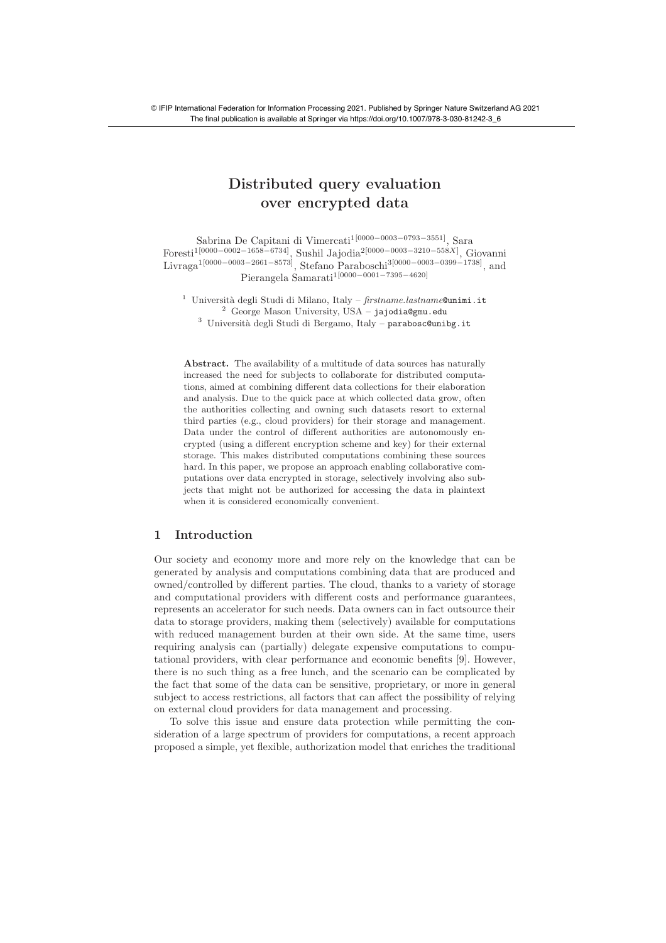# Distributed query evaluation over encrypted data

Sabrina De Capitani di Vimercati1[0000−0003−0793−3551], Sara Foresti1[0000−0002−1658−6734], Sushil Jajodia2[0000−0003−3210−558X] , Giovanni Livraga1[0000−0003−2661−8573], Stefano Paraboschi3[0000−0003−0399−1738], and Pierangela Samarati1[0000−0001−7395−4620]

1 Università degli Studi di Milano, Italy – *firstname.lastname*@unimi.it $^2$ George Mason University, USA – jajodia@gmu.edu 3 Università degli Studi di Bergamo, Italy – parabosc@unibg.it

Abstract. The availability of a multitude of data sources has naturally increased the need for subjects to collaborate for distributed computations, aimed at combining different data collections for their elaboration and analysis. Due to the quick pace at which collected data grow, often the authorities collecting and owning such datasets resort to external third parties (e.g., cloud providers) for their storage and management. Data under the control of different authorities are autonomously encrypted (using a different encryption scheme and key) for their external storage. This makes distributed computations combining these sources hard. In this paper, we propose an approach enabling collaborative computations over data encrypted in storage, selectively involving also subjects that might not be authorized for accessing the data in plaintext when it is considered economically convenient.

# 1 Introduction

Our society and economy more and more rely on the knowledge that can be generated by analysis and computations combining data that are produced and owned/controlled by different parties. The cloud, thanks to a variety of storage and computational providers with different costs and performance guarantees, represents an accelerator for such needs. Data owners can in fact outsource their data to storage providers, making them (selectively) available for computations with reduced management burden at their own side. At the same time, users requiring analysis can (partially) delegate expensive computations to computational providers, with clear performance and economic benefits [9]. However, there is no such thing as a free lunch, and the scenario can be complicated by the fact that some of the data can be sensitive, proprietary, or more in general subject to access restrictions, all factors that can affect the possibility of relying on external cloud providers for data management and processing.

To solve this issue and ensure data protection while permitting the consideration of a large spectrum of providers for computations, a recent approach proposed a simple, yet flexible, authorization model that enriches the traditional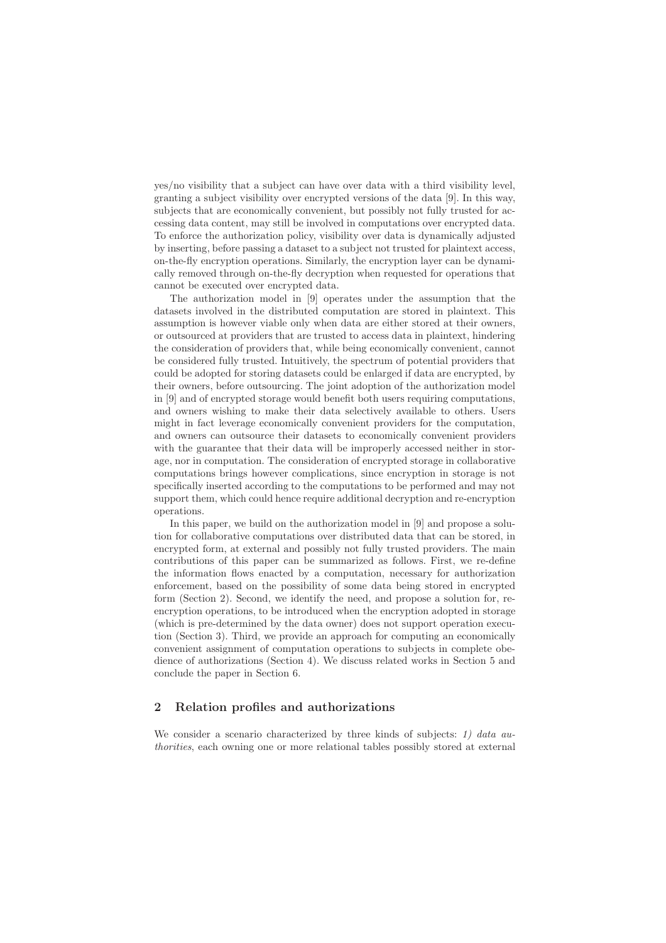yes/no visibility that a subject can have over data with a third visibility level, granting a subject visibility over encrypted versions of the data [9]. In this way, subjects that are economically convenient, but possibly not fully trusted for accessing data content, may still be involved in computations over encrypted data. To enforce the authorization policy, visibility over data is dynamically adjusted by inserting, before passing a dataset to a subject not trusted for plaintext access, on-the-fly encryption operations. Similarly, the encryption layer can be dynamically removed through on-the-fly decryption when requested for operations that cannot be executed over encrypted data.

The authorization model in [9] operates under the assumption that the datasets involved in the distributed computation are stored in plaintext. This assumption is however viable only when data are either stored at their owners, or outsourced at providers that are trusted to access data in plaintext, hindering the consideration of providers that, while being economically convenient, cannot be considered fully trusted. Intuitively, the spectrum of potential providers that could be adopted for storing datasets could be enlarged if data are encrypted, by their owners, before outsourcing. The joint adoption of the authorization model in [9] and of encrypted storage would benefit both users requiring computations, and owners wishing to make their data selectively available to others. Users might in fact leverage economically convenient providers for the computation, and owners can outsource their datasets to economically convenient providers with the guarantee that their data will be improperly accessed neither in storage, nor in computation. The consideration of encrypted storage in collaborative computations brings however complications, since encryption in storage is not specifically inserted according to the computations to be performed and may not support them, which could hence require additional decryption and re-encryption operations.

In this paper, we build on the authorization model in [9] and propose a solution for collaborative computations over distributed data that can be stored, in encrypted form, at external and possibly not fully trusted providers. The main contributions of this paper can be summarized as follows. First, we re-define the information flows enacted by a computation, necessary for authorization enforcement, based on the possibility of some data being stored in encrypted form (Section 2). Second, we identify the need, and propose a solution for, reencryption operations, to be introduced when the encryption adopted in storage (which is pre-determined by the data owner) does not support operation execution (Section 3). Third, we provide an approach for computing an economically convenient assignment of computation operations to subjects in complete obedience of authorizations (Section 4). We discuss related works in Section 5 and conclude the paper in Section 6.

#### 2 Relation profiles and authorizations

We consider a scenario characterized by three kinds of subjects:  $1)$  data authorities, each owning one or more relational tables possibly stored at external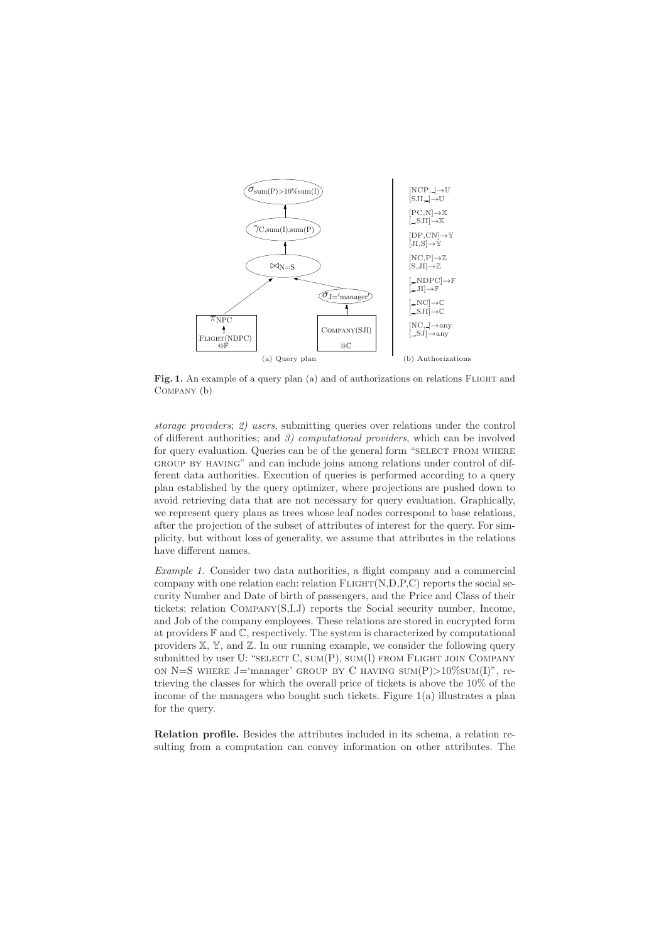

Fig. 1. An example of a query plan (a) and of authorizations on relations FLIGHT and Company (b)

storage providers; 2) users, submitting queries over relations under the control of different authorities; and 3) computational providers, which can be involved for query evaluation. Queries can be of the general form "SELECT FROM WHERE group by having" and can include joins among relations under control of different data authorities. Execution of queries is performed according to a query plan established by the query optimizer, where projections are pushed down to avoid retrieving data that are not necessary for query evaluation. Graphically, we represent query plans as trees whose leaf nodes correspond to base relations, after the projection of the subset of attributes of interest for the query. For simplicity, but without loss of generality, we assume that attributes in the relations have different names.

Example 1. Consider two data authorities, a flight company and a commercial company with one relation each: relation  $FLIGHT(N,D,P,C)$  reports the social security Number and Date of birth of passengers, and the Price and Class of their tickets; relation Company(S,I,J) reports the Social security number, Income, and Job of the company employees. These relations are stored in encrypted form at providers F and C, respectively. The system is characterized by computational providers  $X$ ,  $Y$ , and  $Z$ . In our running example, we consider the following query submitted by user  $\mathbb U\colon$  "SELECT C,  $\textsc{sum}(P), \textsc{sum}(I)$  from FLIGHT JOIN COMPANY on N=S where J='manager' GROUP BY C HAVING  $\text{SUM}(P) > 10\% \text{SUM}(I)$ ", retrieving the classes for which the overall price of tickets is above the 10% of the income of the managers who bought such tickets. Figure 1(a) illustrates a plan for the query.

Relation profile. Besides the attributes included in its schema, a relation resulting from a computation can convey information on other attributes. The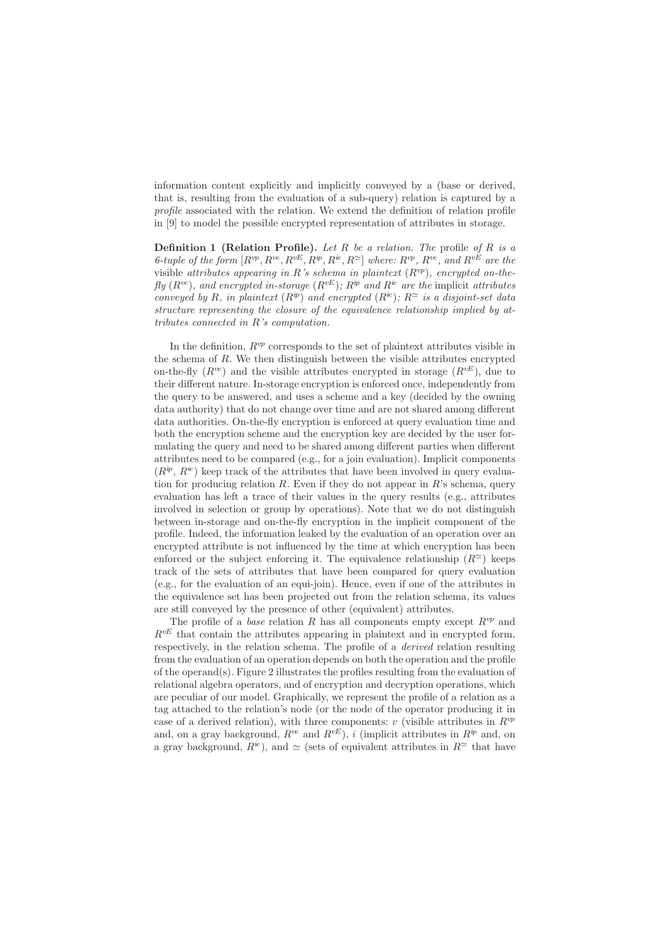information content explicitly and implicitly conveyed by a (base or derived, that is, resulting from the evaluation of a sub-query) relation is captured by a profile associated with the relation. We extend the definition of relation profile in [9] to model the possible encrypted representation of attributes in storage.

**Definition 1 (Relation Profile).** Let R be a relation. The profile of R is a 6-tuple of the form  $[R^{vp}, R^{ve}, R^{vE}, R^{ip}, R^{ie}, R^{=}]$  where:  $R^{vp}, R^{ve}$ , and  $R^{vE}$  are the visible attributes appearing in R's schema in plaintext  $(R^{vp})$ , encrypted on-thefly  $(R^{ve})$ , and encrypted in-storage  $(R^{vE})$ ;  $R^{ip}$  and  $R^{ie}$  are the implicit attributes conveyed by R, in plaintext  $(R^{ip})$  and encrypted  $(R^{ie})$ ;  $R^{\simeq}$  is a disjoint-set data structure representing the closure of the equivalence relationship implied by attributes connected in R's computation.

In the definition,  $R^{\nu p}$  corresponds to the set of plaintext attributes visible in the schema of  $R$ . We then distinguish between the visible attributes encrypted on-the-fly  $(R^{ve})$  and the visible attributes encrypted in storage  $(R^{vE})$ , due to their different nature. In-storage encryption is enforced once, independently from the query to be answered, and uses a scheme and a key (decided by the owning data authority) that do not change over time and are not shared among different data authorities. On-the-fly encryption is enforced at query evaluation time and both the encryption scheme and the encryption key are decided by the user formulating the query and need to be shared among different parties when different attributes need to be compared (e.g., for a join evaluation). Implicit components  $(R^{\psi}, R^{\dot{\psi}})$  keep track of the attributes that have been involved in query evaluation for producing relation  $R$ . Even if they do not appear in  $R$ 's schema, query evaluation has left a trace of their values in the query results (e.g., attributes involved in selection or group by operations). Note that we do not distinguish between in-storage and on-the-fly encryption in the implicit component of the profile. Indeed, the information leaked by the evaluation of an operation over an encrypted attribute is not influenced by the time at which encryption has been enforced or the subject enforcing it. The equivalence relationship  $(R<sup>2</sup>)$  keeps track of the sets of attributes that have been compared for query evaluation (e.g., for the evaluation of an equi-join). Hence, even if one of the attributes in the equivalence set has been projected out from the relation schema, its values are still conveyed by the presence of other (equivalent) attributes.

The profile of a base relation R has all components empty except  $R^{\nu p}$  and  $R^{vE}$  that contain the attributes appearing in plaintext and in encrypted form, respectively, in the relation schema. The profile of a derived relation resulting from the evaluation of an operation depends on both the operation and the profile of the operand(s). Figure 2 illustrates the profiles resulting from the evaluation of relational algebra operators, and of encryption and decryption operations, which are peculiar of our model. Graphically, we represent the profile of a relation as a tag attached to the relation's node (or the node of the operator producing it in case of a derived relation), with three components:  $v$  (visible attributes in  $R^{vp}$ and, on a gray background,  $R^{ve}$  and  $R^{vE}$ ), i (implicit attributes in  $R^{ip}$  and, on a gray background,  $\tilde{R}^{ie}$ ), and  $\simeq$  (sets of equivalent attributes in  $R^{\simeq}$  that have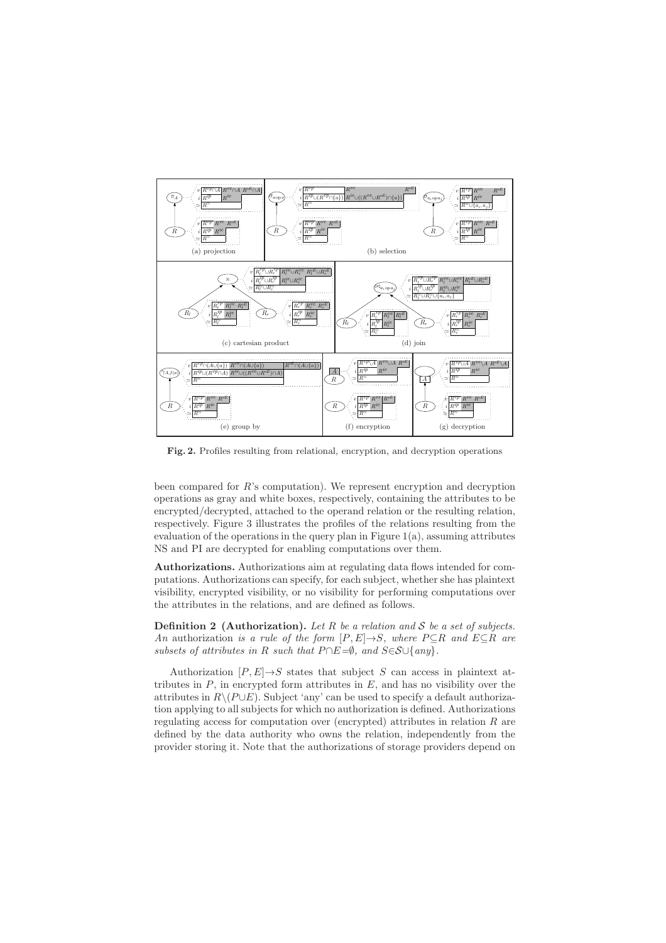

Fig. 2. Profiles resulting from relational, encryption, and decryption operations

been compared for  $R$ 's computation). We represent encryption and decryption operations as gray and white boxes, respectively, containing the attributes to be encrypted/decrypted, attached to the operand relation or the resulting relation, respectively. Figure 3 illustrates the profiles of the relations resulting from the evaluation of the operations in the query plan in Figure  $1(a)$ , assuming attributes NS and PI are decrypted for enabling computations over them.

Authorizations. Authorizations aim at regulating data flows intended for computations. Authorizations can specify, for each subject, whether she has plaintext visibility, encrypted visibility, or no visibility for performing computations over the attributes in the relations, and are defined as follows.

**Definition 2** (Authorization). Let R be a relation and S be a set of subjects. An authorization is a rule of the form  $[P, E] \rightarrow S$ , where  $P \subseteq R$  and  $E \subseteq R$  are subsets of attributes in R such that  $P \cap E = \emptyset$ , and  $S \in \mathcal{S} \cup \{any\}$ .

Authorization  $[P, E] \rightarrow S$  states that subject S can access in plaintext attributes in  $P$ , in encrypted form attributes in  $E$ , and has no visibility over the attributes in  $R\setminus (P\cup E)$ . Subject 'any' can be used to specify a default authorization applying to all subjects for which no authorization is defined. Authorizations regulating access for computation over (encrypted) attributes in relation R are defined by the data authority who owns the relation, independently from the provider storing it. Note that the authorizations of storage providers depend on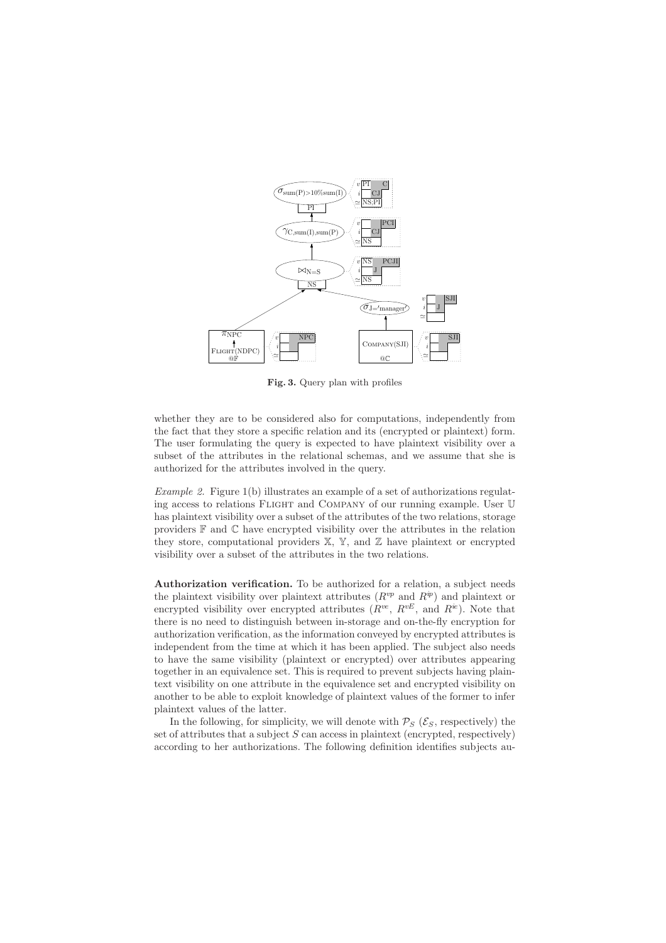

Fig. 3. Query plan with profiles

whether they are to be considered also for computations, independently from the fact that they store a specific relation and its (encrypted or plaintext) form. The user formulating the query is expected to have plaintext visibility over a subset of the attributes in the relational schemas, and we assume that she is authorized for the attributes involved in the query.

Example 2. Figure  $1(b)$  illustrates an example of a set of authorizations regulating access to relations FLIGHT and COMPANY of our running example. User U has plaintext visibility over a subset of the attributes of the two relations, storage providers  $\mathbb F$  and  $\mathbb C$  have encrypted visibility over the attributes in the relation they store, computational providers  $X$ ,  $Y$ , and  $Z$  have plaintext or encrypted visibility over a subset of the attributes in the two relations.

Authorization verification. To be authorized for a relation, a subject needs the plaintext visibility over plaintext attributes  $(R^{vp}$  and  $R^{ip})$  and plaintext or encrypted visibility over encrypted attributes  $(R^{ve}, R^{vE}, \text{ and } R^{ie})$ . Note that there is no need to distinguish between in-storage and on-the-fly encryption for authorization verification, as the information conveyed by encrypted attributes is independent from the time at which it has been applied. The subject also needs to have the same visibility (plaintext or encrypted) over attributes appearing together in an equivalence set. This is required to prevent subjects having plaintext visibility on one attribute in the equivalence set and encrypted visibility on another to be able to exploit knowledge of plaintext values of the former to infer plaintext values of the latter.

In the following, for simplicity, we will denote with  $\mathcal{P}_S$  ( $\mathcal{E}_S$ , respectively) the set of attributes that a subject  $S$  can access in plaintext (encrypted, respectively) according to her authorizations. The following definition identifies subjects au-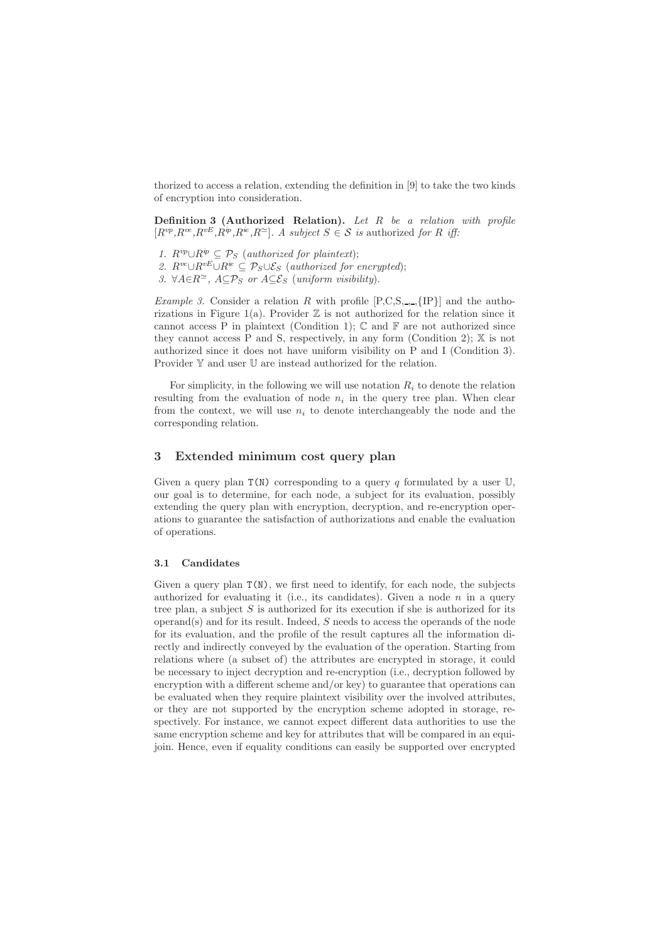thorized to access a relation, extending the definition in [9] to take the two kinds of encryption into consideration.

Definition 3 (Authorized Relation). Let R be a relation with profile  $[R^{vp},R^{ve},R^{vE},R^{ip},R^{ie},R^{\simeq}]$ . A subject  $S \in \mathcal{S}$  is authorized for R iff:

- 1.  $R^{vp} \cup R^{ip} \subset \mathcal{P}_S$  (authorized for plaintext);
- 2.  $R^{ve} \cup R^{ve} \cup R^{ie} \subset \mathcal{P}_S \cup \mathcal{E}_S$  (authorized for encrypted);
- 3.  $\forall A \in R^{\simeq}$ ,  $A \subseteq \mathcal{P}_S$  or  $A \subseteq \mathcal{E}_S$  (uniform visibility).

*Example 3.* Consider a relation R with profile  $[P, C, S, \ldots, \{IP\}]$  and the authorizations in Figure 1(a). Provider  $\mathbb Z$  is not authorized for the relation since it cannot access P in plaintext (Condition 1);  $\mathbb C$  and  $\mathbb F$  are not authorized since they cannot access P and S, respectively, in any form (Condition 2);  $\mathbb{X}$  is not authorized since it does not have uniform visibility on P and I (Condition 3). Provider  $\mathbb {Y}$  and user  $\mathbb {U}$  are instead authorized for the relation.

For simplicity, in the following we will use notation  $R_i$  to denote the relation resulting from the evaluation of node  $n_i$  in the query tree plan. When clear from the context, we will use  $n_i$  to denote interchangeably the node and the corresponding relation.

#### 3 Extended minimum cost query plan

Given a query plan  $T(N)$  corresponding to a query q formulated by a user U, our goal is to determine, for each node, a subject for its evaluation, possibly extending the query plan with encryption, decryption, and re-encryption operations to guarantee the satisfaction of authorizations and enable the evaluation of operations.

#### 3.1 Candidates

Given a query plan  $T(N)$ , we first need to identify, for each node, the subjects authorized for evaluating it (i.e., its candidates). Given a node  $n$  in a query tree plan, a subject  $S$  is authorized for its execution if she is authorized for its operand(s) and for its result. Indeed,  $S$  needs to access the operands of the node for its evaluation, and the profile of the result captures all the information directly and indirectly conveyed by the evaluation of the operation. Starting from relations where (a subset of) the attributes are encrypted in storage, it could be necessary to inject decryption and re-encryption (i.e., decryption followed by encryption with a different scheme and/or key) to guarantee that operations can be evaluated when they require plaintext visibility over the involved attributes, or they are not supported by the encryption scheme adopted in storage, respectively. For instance, we cannot expect different data authorities to use the same encryption scheme and key for attributes that will be compared in an equijoin. Hence, even if equality conditions can easily be supported over encrypted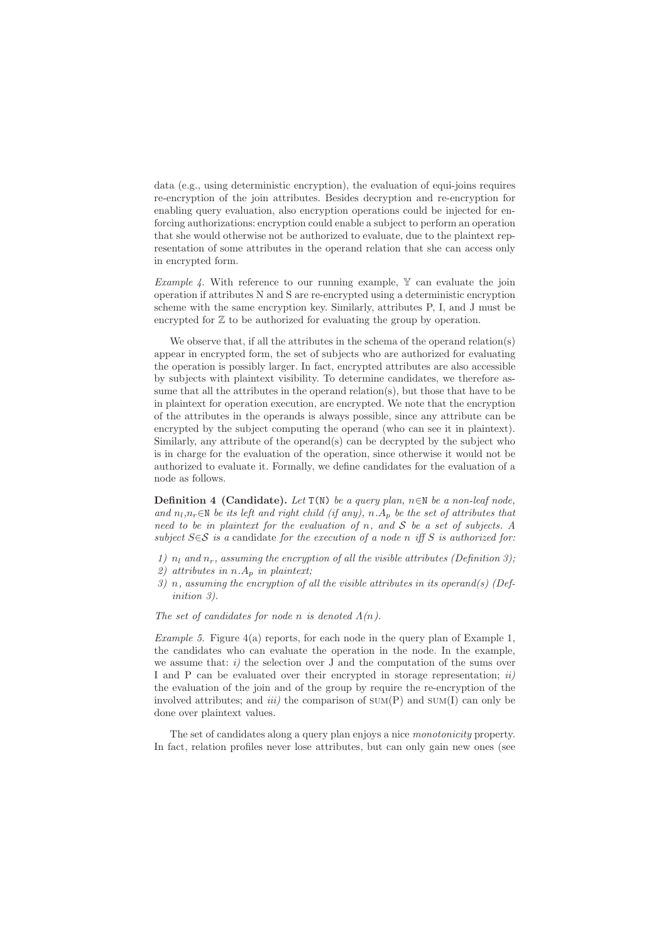data (e.g., using deterministic encryption), the evaluation of equi-joins requires re-encryption of the join attributes. Besides decryption and re-encryption for enabling query evaluation, also encryption operations could be injected for enforcing authorizations: encryption could enable a subject to perform an operation that she would otherwise not be authorized to evaluate, due to the plaintext representation of some attributes in the operand relation that she can access only in encrypted form.

Example 4. With reference to our running example,  $\mathbb {Y}$  can evaluate the join operation if attributes N and S are re-encrypted using a deterministic encryption scheme with the same encryption key. Similarly, attributes P, I, and J must be encrypted for  $\mathbb Z$  to be authorized for evaluating the group by operation.

We observe that, if all the attributes in the schema of the operand relation(s) appear in encrypted form, the set of subjects who are authorized for evaluating the operation is possibly larger. In fact, encrypted attributes are also accessible by subjects with plaintext visibility. To determine candidates, we therefore assume that all the attributes in the operand relation(s), but those that have to be in plaintext for operation execution, are encrypted. We note that the encryption of the attributes in the operands is always possible, since any attribute can be encrypted by the subject computing the operand (who can see it in plaintext). Similarly, any attribute of the operand(s) can be decrypted by the subject who is in charge for the evaluation of the operation, since otherwise it would not be authorized to evaluate it. Formally, we define candidates for the evaluation of a node as follows.

Definition 4 (Candidate). Let  $T(N)$  be a query plan,  $n \in N$  be a non-leaf node, and  $n_l, n_r \in \mathbb{N}$  be its left and right child (if any),  $n.A_p$  be the set of attributes that need to be in plaintext for the evaluation of n, and  $S$  be a set of subjects. A subject  $S \in S$  is a candidate for the execution of a node n iff S is authorized for:

- 1)  $n_l$  and  $n_r$ , assuming the encryption of all the visible attributes (Definition 3);
- 2) attributes in  $n.A_p$  in plaintext;
- 3) n, assuming the encryption of all the visible attributes in its operand(s) (Definition 3).

The set of candidates for node n is denoted  $\Lambda(n)$ .

*Example 5.* Figure  $4(a)$  reports, for each node in the query plan of Example 1, the candidates who can evaluate the operation in the node. In the example, we assume that:  $i$ ) the selection over J and the computation of the sums over I and P can be evaluated over their encrypted in storage representation;  $ii$ ) the evaluation of the join and of the group by require the re-encryption of the involved attributes; and  $iii)$  the comparison of  $SUM(P)$  and  $SUM(I)$  can only be done over plaintext values.

The set of candidates along a query plan enjoys a nice monotonicity property. In fact, relation profiles never lose attributes, but can only gain new ones (see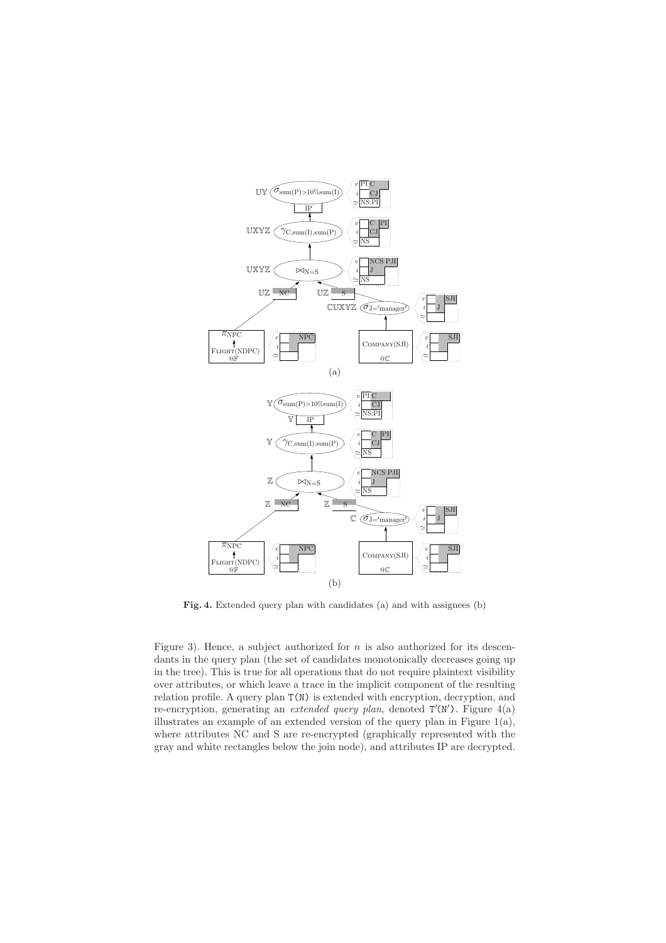

Fig. 4. Extended query plan with candidates (a) and with assignees (b)

Figure 3). Hence, a subject authorized for  $n$  is also authorized for its descendants in the query plan (the set of candidates monotonically decreases going up in the tree). This is true for all operations that do not require plaintext visibility over attributes, or which leave a trace in the implicit component of the resulting relation profile. A query plan T(N) is extended with encryption, decryption, and re-encryption, generating an *extended query plan*, denoted  $T'(N')$ . Figure  $4(a)$ illustrates an example of an extended version of the query plan in Figure  $1(a)$ , where attributes NC and S are re-encrypted (graphically represented with the gray and white rectangles below the join node), and attributes IP are decrypted.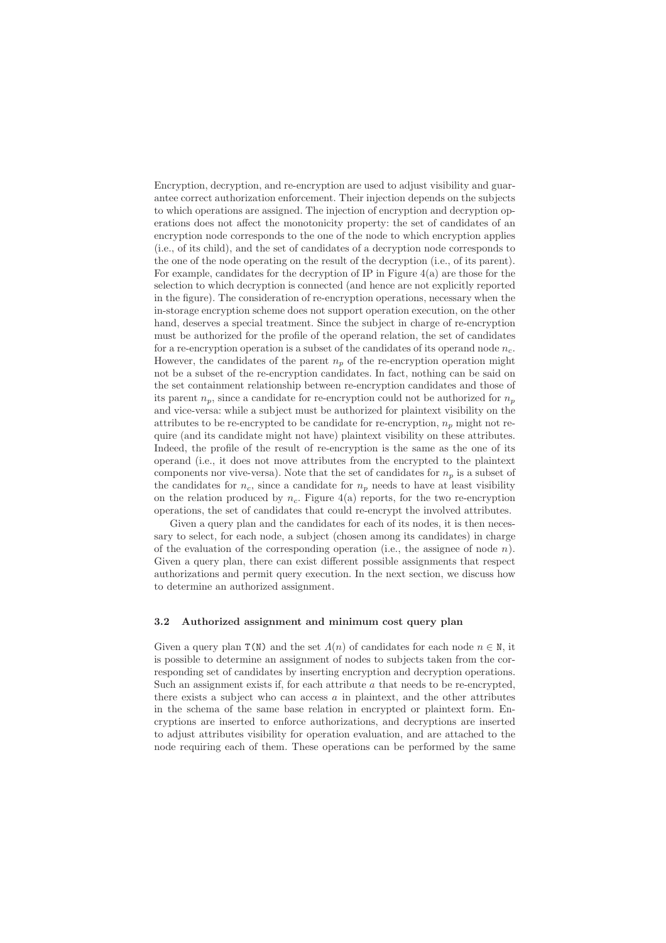Encryption, decryption, and re-encryption are used to adjust visibility and guarantee correct authorization enforcement. Their injection depends on the subjects to which operations are assigned. The injection of encryption and decryption operations does not affect the monotonicity property: the set of candidates of an encryption node corresponds to the one of the node to which encryption applies (i.e., of its child), and the set of candidates of a decryption node corresponds to the one of the node operating on the result of the decryption (i.e., of its parent). For example, candidates for the decryption of IP in Figure 4(a) are those for the selection to which decryption is connected (and hence are not explicitly reported in the figure). The consideration of re-encryption operations, necessary when the in-storage encryption scheme does not support operation execution, on the other hand, deserves a special treatment. Since the subject in charge of re-encryption must be authorized for the profile of the operand relation, the set of candidates for a re-encryption operation is a subset of the candidates of its operand node  $n_c$ . However, the candidates of the parent  $n_p$  of the re-encryption operation might not be a subset of the re-encryption candidates. In fact, nothing can be said on the set containment relationship between re-encryption candidates and those of its parent  $n_p$ , since a candidate for re-encryption could not be authorized for  $n_p$ and vice-versa: while a subject must be authorized for plaintext visibility on the attributes to be re-encrypted to be candidate for re-encryption,  $n_p$  might not require (and its candidate might not have) plaintext visibility on these attributes. Indeed, the profile of the result of re-encryption is the same as the one of its operand (i.e., it does not move attributes from the encrypted to the plaintext components nor vive-versa). Note that the set of candidates for  $n<sub>n</sub>$  is a subset of the candidates for  $n_c$ , since a candidate for  $n_p$  needs to have at least visibility on the relation produced by  $n_c$ . Figure 4(a) reports, for the two re-encryption operations, the set of candidates that could re-encrypt the involved attributes.

Given a query plan and the candidates for each of its nodes, it is then necessary to select, for each node, a subject (chosen among its candidates) in charge of the evaluation of the corresponding operation (i.e., the assignee of node  $n$ ). Given a query plan, there can exist different possible assignments that respect authorizations and permit query execution. In the next section, we discuss how to determine an authorized assignment.

#### 3.2 Authorized assignment and minimum cost query plan

Given a query plan  $\mathsf{T}(\mathbb{N})$  and the set  $\Lambda(n)$  of candidates for each node  $n \in \mathbb{N}$ , it is possible to determine an assignment of nodes to subjects taken from the corresponding set of candidates by inserting encryption and decryption operations. Such an assignment exists if, for each attribute  $a$  that needs to be re-encrypted, there exists a subject who can access  $a$  in plaintext, and the other attributes in the schema of the same base relation in encrypted or plaintext form. Encryptions are inserted to enforce authorizations, and decryptions are inserted to adjust attributes visibility for operation evaluation, and are attached to the node requiring each of them. These operations can be performed by the same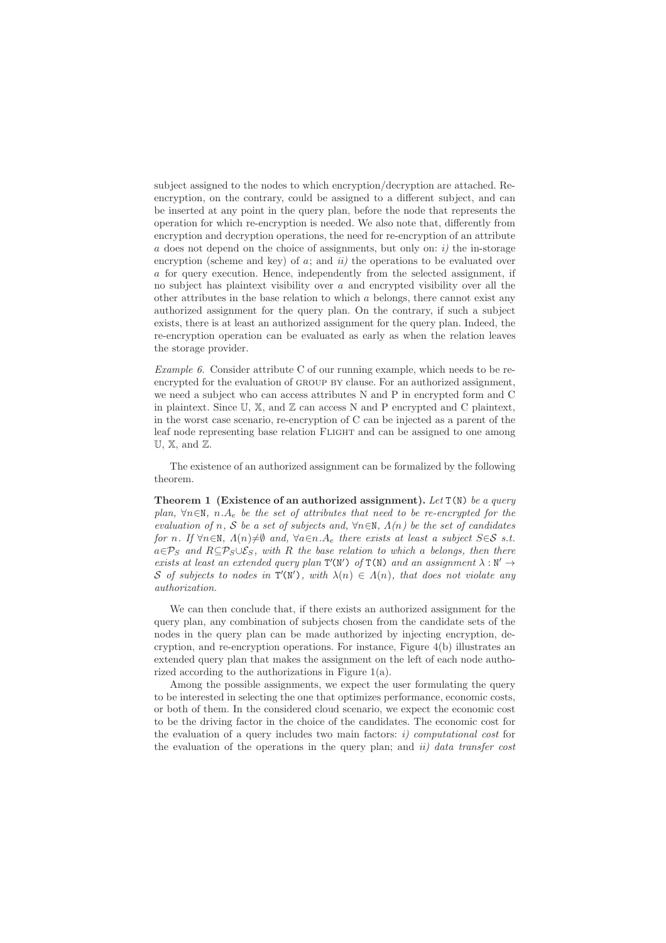subject assigned to the nodes to which encryption/decryption are attached. Reencryption, on the contrary, could be assigned to a different subject, and can be inserted at any point in the query plan, before the node that represents the operation for which re-encryption is needed. We also note that, differently from encryption and decryption operations, the need for re-encryption of an attribute a does not depend on the choice of assignments, but only on:  $i$ ) the in-storage encryption (scheme and key) of  $a$ ; and  $ii$ ) the operations to be evaluated over a for query execution. Hence, independently from the selected assignment, if no subject has plaintext visibility over  $a$  and encrypted visibility over all the other attributes in the base relation to which a belongs, there cannot exist any authorized assignment for the query plan. On the contrary, if such a subject exists, there is at least an authorized assignment for the query plan. Indeed, the re-encryption operation can be evaluated as early as when the relation leaves the storage provider.

Example  $6$ . Consider attribute C of our running example, which needs to be reencrypted for the evaluation of GROUP BY clause. For an authorized assignment, we need a subject who can access attributes N and P in encrypted form and C in plaintext. Since  $\mathbb{U}$ ,  $\mathbb{X}$ , and  $\mathbb{Z}$  can access N and P encrypted and C plaintext, in the worst case scenario, re-encryption of C can be injected as a parent of the leaf node representing base relation FLIGHT and can be assigned to one among  $\mathbb{U}$ ,  $\mathbb{X}$ , and  $\mathbb{Z}$ .

The existence of an authorized assignment can be formalized by the following theorem.

Theorem 1 (Existence of an authorized assignment). Let  $T(N)$  be a query plan,  $\forall n \in \mathbb{N}$ ,  $n.A_e$  be the set of attributes that need to be re-encrypted for the evaluation of n, S be a set of subjects and,  $\forall n \in \mathbb{N}$ ,  $\Lambda(n)$  be the set of candidates for n. If  $\forall n \in \mathbb{N}$ ,  $\Lambda(n) \neq \emptyset$  and,  $\forall a \in n.A_e$  there exists at least a subject  $S \in \mathcal{S}$  s.t.  $a \in \mathcal{P}_S$  and  $R \subseteq \mathcal{P}_S \cup \mathcal{E}_S$ , with R the base relation to which a belongs, then there exists at least an extended query plan  $T'(N')$  of  $T(N)$  and an assignment  $\lambda : N' \rightarrow$ S of subjects to nodes in  $\mathbb{T}'(\mathbb{N}')$ , with  $\lambda(n) \in \Lambda(n)$ , that does not violate any authorization.

We can then conclude that, if there exists an authorized assignment for the query plan, any combination of subjects chosen from the candidate sets of the nodes in the query plan can be made authorized by injecting encryption, decryption, and re-encryption operations. For instance, Figure 4(b) illustrates an extended query plan that makes the assignment on the left of each node authorized according to the authorizations in Figure 1(a).

Among the possible assignments, we expect the user formulating the query to be interested in selecting the one that optimizes performance, economic costs, or both of them. In the considered cloud scenario, we expect the economic cost to be the driving factor in the choice of the candidates. The economic cost for the evaluation of a query includes two main factors:  $i)$  computational cost for the evaluation of the operations in the query plan; and  $ii)$  data transfer cost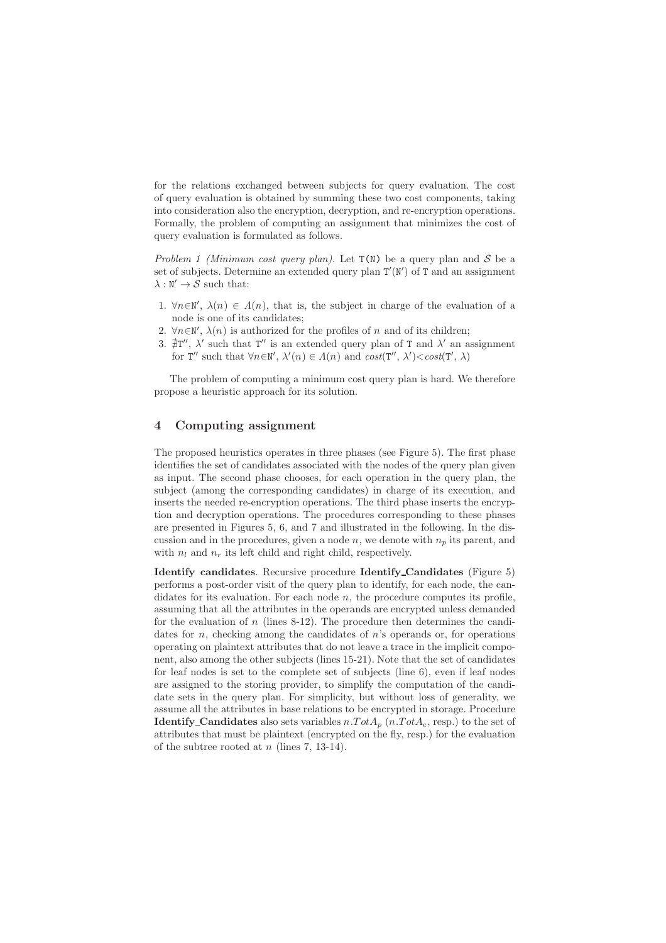for the relations exchanged between subjects for query evaluation. The cost of query evaluation is obtained by summing these two cost components, taking into consideration also the encryption, decryption, and re-encryption operations. Formally, the problem of computing an assignment that minimizes the cost of query evaluation is formulated as follows.

Problem 1 (Minimum cost query plan). Let  $T(N)$  be a query plan and S be a set of subjects. Determine an extended query plan  $T'(N')$  of T and an assignment  $\lambda : \mathbb{N}' \to \mathcal{S}$  such that:

- 1.  $\forall n \in \mathbb{N}'$ ,  $\lambda(n) \in \Lambda(n)$ , that is, the subject in charge of the evaluation of a node is one of its candidates;
- 2.  $\forall n \in \mathbb{N}'$ ,  $\lambda(n)$  is authorized for the profiles of n and of its children;
- 3.  $\sharp$ T'',  $\lambda'$  such that T'' is an extended query plan of T and  $\lambda'$  an assignment for T'' such that  $\forall n \in \mathbb{N}'$ ,  $\lambda'(n) \in \Lambda(n)$  and  $cost(T'', \lambda') < cost(T', \lambda)$

The problem of computing a minimum cost query plan is hard. We therefore propose a heuristic approach for its solution.

#### 4 Computing assignment

The proposed heuristics operates in three phases (see Figure 5). The first phase identifies the set of candidates associated with the nodes of the query plan given as input. The second phase chooses, for each operation in the query plan, the subject (among the corresponding candidates) in charge of its execution, and inserts the needed re-encryption operations. The third phase inserts the encryption and decryption operations. The procedures corresponding to these phases are presented in Figures 5, 6, and 7 and illustrated in the following. In the discussion and in the procedures, given a node  $n$ , we denote with  $n_p$  its parent, and with  $n_l$  and  $n_r$  its left child and right child, respectively.

Identify candidates. Recursive procedure Identify Candidates (Figure 5) performs a post-order visit of the query plan to identify, for each node, the candidates for its evaluation. For each node  $n$ , the procedure computes its profile, assuming that all the attributes in the operands are encrypted unless demanded for the evaluation of n (lines  $8-12$ ). The procedure then determines the candidates for n, checking among the candidates of  $n$ 's operands or, for operations operating on plaintext attributes that do not leave a trace in the implicit component, also among the other subjects (lines 15-21). Note that the set of candidates for leaf nodes is set to the complete set of subjects (line 6), even if leaf nodes are assigned to the storing provider, to simplify the computation of the candidate sets in the query plan. For simplicity, but without loss of generality, we assume all the attributes in base relations to be encrypted in storage. Procedure **Identify Candidates** also sets variables  $n.TotA_p$  ( $n.TotA_e$ , resp.) to the set of attributes that must be plaintext (encrypted on the fly, resp.) for the evaluation of the subtree rooted at  $n$  (lines 7, 13-14).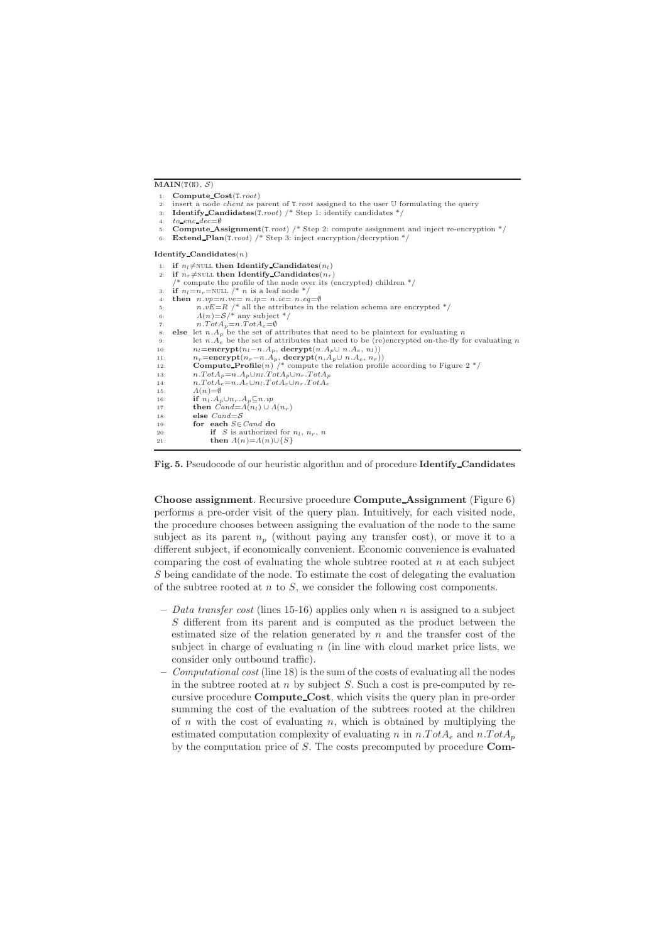$\text{MAIN}(\text{T(N)}, \mathcal{S})$ 

- 1: Compute  $Cost(T, root)$
- 2: insert a node *client* as parent of T.*root* assigned to the user U formulating the query 3: **Identify\_Candidates**(T.*root*) /\* Step 1: identify candidates \*/
- 
- 4:  $to\_enc\_dec=$  $\emptyset$
- 5: **Compute\_Assignment**(T.*root*) /\* Step 2: compute assignment and inject re-encryption \*/<br>6: **Extend\_Plan**(T.*root*) /\* Step 3: inject encryption/decryption \*/ Extend\_Plan(T.root) /\* Step 3: inject encryption/decryption \*

 $Identify\_C andidates(n)$ 

|     | 1: if $n_l \neq$ NULL then Identify Candidates $(n_l)$                                         |
|-----|------------------------------------------------------------------------------------------------|
|     | 2: if $n_r \neq$ NULL then Identify Candidates $(n_r)$                                         |
|     | $\frac{*}{*}$ compute the profile of the node over its (encrypted) children $\frac{*}{*}$      |
| 3:  | if $n_l = n_r$ =NULL /* n is a leaf node */                                                    |
| 4:  | then $n.vp=n.ve=n Lip=n_ie=n.eq=\emptyset$                                                     |
| 5:  | $n.vE=R$ /* all the attributes in the relation schema are encrypted */                         |
| 6:  | $\Lambda(n)=S$ /* any subject */                                                               |
| 7:  | $n. TotA_p = n. TotA_e = \emptyset$                                                            |
| 8:  | else let $n.A_p$ be the set of attributes that need to be plaintext for evaluating n           |
| 9:  | let $n.A_e$ be the set of attributes that need to be (re)encrypted on-the-fly for evaluating n |
| 10: | $n_l = \n\text{encrypt}(n_l - n.A_p, \n\text{ decrypt}(n.A_p \cup n.A_e, n_l))$                |
| 11: | $n_r =$ encrypt $(n_r - n.A_n, \text{ decrypt}(n.A_n \cup n.A_e, n_r))$                        |
| 12: | <b>Compute_Profile</b> (n) /* compute the relation profile according to Figure 2 $^*/$         |
| 13: | $n.TotA_p=n.A_p\cup n_l.TotA_p\cup n_r.TotA_p$                                                 |
| 14: | $n.TotA_e=n.A_e\cup n_l.TotA_e\cup n_r.TotA_e$                                                 |
| 15: | $\Lambda(n)=\emptyset$                                                                         |
| 16: | if $n_l \n A_n \cup n_r \n A_n \subset n \n i p$                                               |
| 17: | then $Cand=A(n_l)\cup A(n_r)$                                                                  |
| 18: | else $Cand = S$                                                                                |
| 19: | for each $S \in Cand$ do                                                                       |
| 20: | <b>if</b> S is authorized for $n_l$ , $n_r$ , n                                                |
| 21: | then $\Lambda(n)=\Lambda(n)\cup\{S\}$                                                          |
|     |                                                                                                |

Fig. 5. Pseudocode of our heuristic algorithm and of procedure Identify Candidates

Choose assignment. Recursive procedure Compute Assignment (Figure 6) performs a pre-order visit of the query plan. Intuitively, for each visited node, the procedure chooses between assigning the evaluation of the node to the same subject as its parent  $n_p$  (without paying any transfer cost), or move it to a different subject, if economically convenient. Economic convenience is evaluated comparing the cost of evaluating the whole subtree rooted at  $n$  at each subject S being candidate of the node. To estimate the cost of delegating the evaluation of the subtree rooted at  $n$  to  $S$ , we consider the following cost components.

- Data transfer cost (lines 15-16) applies only when n is assigned to a subject S different from its parent and is computed as the product between the estimated size of the relation generated by  $n$  and the transfer cost of the subject in charge of evaluating  $n$  (in line with cloud market price lists, we consider only outbound traffic).
- $\sim$  Computational cost (line 18) is the sum of the costs of evaluating all the nodes in the subtree rooted at  $n$  by subject  $S$ . Such a cost is pre-computed by recursive procedure Compute Cost, which visits the query plan in pre-order summing the cost of the evaluation of the subtrees rooted at the children of  $n$  with the cost of evaluating  $n$ , which is obtained by multiplying the estimated computation complexity of evaluating n in  $n. Total_e$  and  $n. Total_p$ by the computation price of S. The costs precomputed by procedure Com-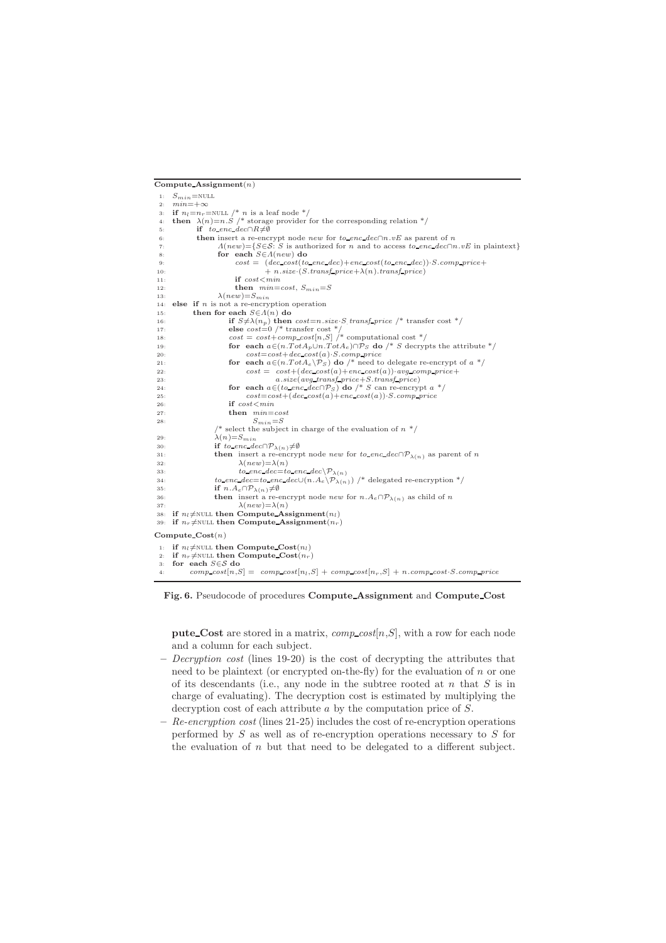$Compute\_Assignment(n)$ 

| 1:                 | $S_{min} = \text{NULL}$                                                                                                                   |  |
|--------------------|-------------------------------------------------------------------------------------------------------------------------------------------|--|
| 2:                 | $min=+\infty$                                                                                                                             |  |
| 3:                 | if $n_l = n_r$ =NULL /* n is a leaf node */                                                                                               |  |
| 4:                 | <b>then</b> $\lambda(n)=n.S$ /* storage provider for the corresponding relation */                                                        |  |
| 5:                 | if to enc $dec \cap R \neq \emptyset$                                                                                                     |  |
| 6:                 | <b>then</b> insert a re-encrypt node <i>new</i> for to enc_dec $\cap n \cdot vE$ as parent of n                                           |  |
| 7:                 | $\Lambda(new) = \{S \in \mathcal{S}: S \text{ is authorized for } n \text{ and to access to\_enc\_dec} \cap n.vE \text{ in plaintext}\}\$ |  |
| 8:                 | for each $S \in \Lambda(new)$ do                                                                                                          |  |
| 9:                 | $cost = (dec\_cost(to\_enc\_dec) + enc\_cost(to\_enc\_dec)) \cdot S \cdot comp\_price +$                                                  |  |
| 10:                | $+ n.size \cdot (S. transf\_price + \lambda(n).transf\_price)$                                                                            |  |
| 11:                | if $cost < min$                                                                                                                           |  |
| 12:                | then $min=cost$ , $S_{min}=S$                                                                                                             |  |
| 13:                | $\lambda(new)=S_{min}$                                                                                                                    |  |
| 14:                | else if $n$ is not a re-encryption operation                                                                                              |  |
| 15:                | then for each $S \in \Lambda(n)$ do                                                                                                       |  |
| 16:                | if $S \neq \lambda(n_p)$ then $cost=n.size \cdot S$ transf-price /* transfer cost */                                                      |  |
| 17:                | else $cost=0$ /* transfer cost */                                                                                                         |  |
| 18:                | $cost = cost + comp\_cost[n, S]$ /* computational cost */                                                                                 |  |
| 19:                | for each $a \in (n. TotA_p \cup n. TotA_e) \cap P_S$ do /* S decrypts the attribute */                                                    |  |
| 20:                | $cost = cost + dec\_cost(a) \cdot S \cdot comp\_price$                                                                                    |  |
| 21:                | for each $a \in (n. Total_e \backslash \mathcal{P}_S)$ do /* need to delegate re-encrypt of $a *$ /                                       |  |
| 22:                | $cost = cost + (dec\_cost(a) + enc\_cost(a)) \cdot avg\_comp\_price +$                                                                    |  |
| 23:                | $a.size(avg\_transf\_price + S. transf\_price)$                                                                                           |  |
| 24:                | for each $a \in (to\_enc\_dec \cap \mathcal{P}_S)$ do /* S can re-encrypt $a^*$ /                                                         |  |
| 25:                | $cost = cost + (dec\_cost(a) + enc\_cost(a)) \cdot S \cdot comp\_price$                                                                   |  |
| 26:                | if $cost \leq min$                                                                                                                        |  |
| 27:                | then $min= cost$                                                                                                                          |  |
| 28:                | $S_{min}=S$                                                                                                                               |  |
|                    | /* select the subject in charge of the evaluation of $n *$ /                                                                              |  |
| 29:                | $\lambda(n)=S_{min}$                                                                                                                      |  |
| 30:                | if to enc_dec $\cap \mathcal{P}_{\lambda(n)} \neq \emptyset$                                                                              |  |
| 31:                | <b>then</b> insert a re-encrypt node <i>new</i> for to_enc_dec $\cap \mathcal{P}_{\lambda(n)}$ as parent of n                             |  |
| 32:                | $\lambda(new)=\lambda(n)$                                                                                                                 |  |
| 33:                | to_enc_dec=to_enc_dec $\mathcal{P}_{\lambda(n)}$                                                                                          |  |
| 34:                | to_enc_dec=to_enc_dec $\cup$ (n.A <sub>e</sub> \ $\mathcal{P}_{\lambda(n)}$ ) /* delegated re-encryption */                               |  |
| 35:                | if $n.A_e \cap \mathcal{P}_{\lambda(n)} \neq \emptyset$                                                                                   |  |
| 36:                | <b>then</b> insert a re-encrypt node <i>new</i> for $n.A_e \cap \mathcal{P}_{\lambda(n)}$ as child of n                                   |  |
| 37:                | $\lambda(new)=\lambda(n)$                                                                                                                 |  |
| 38:                | if $n_l \neq$ NULL then Compute Assignment $(n_l)$                                                                                        |  |
| 39:                | if $n_r \neq$ NULL then Compute Assignment $(n_r)$                                                                                        |  |
| $Compute\_Cost(n)$ |                                                                                                                                           |  |
| 1:                 | if $n_l \neq$ NULL then Compute Cost $(n_l)$                                                                                              |  |
| 2:                 | if $n_r \neq$ NULL then Compute Cost $(n_r)$                                                                                              |  |
| 3:                 | for each $S \in \mathcal{S}$ do                                                                                                           |  |
| 4:                 | $comp\_cost[n, S] = comp\_cost[n_l, S] + comp\_cost[n_r, S] + ncomp\_cost \cdot Scomp\_price$                                             |  |

Fig. 6. Pseudocode of procedures Compute Assignment and Compute Cost

**pute Cost** are stored in a matrix,  $comp\_cost[n, S]$ , with a row for each node and a column for each subject.

- $-$  *Decryption cost* (lines 19-20) is the cost of decrypting the attributes that need to be plaintext (or encrypted on-the-fly) for the evaluation of  $n$  or one of its descendants (i.e., any node in the subtree rooted at  $n$  that  $S$  is in charge of evaluating). The decryption cost is estimated by multiplying the decryption cost of each attribute  $a$  by the computation price of  $S$ .
- Re-encryption cost (lines 21-25) includes the cost of re-encryption operations performed by  $S$  as well as of re-encryption operations necessary to  $S$  for the evaluation of  $n$  but that need to be delegated to a different subject.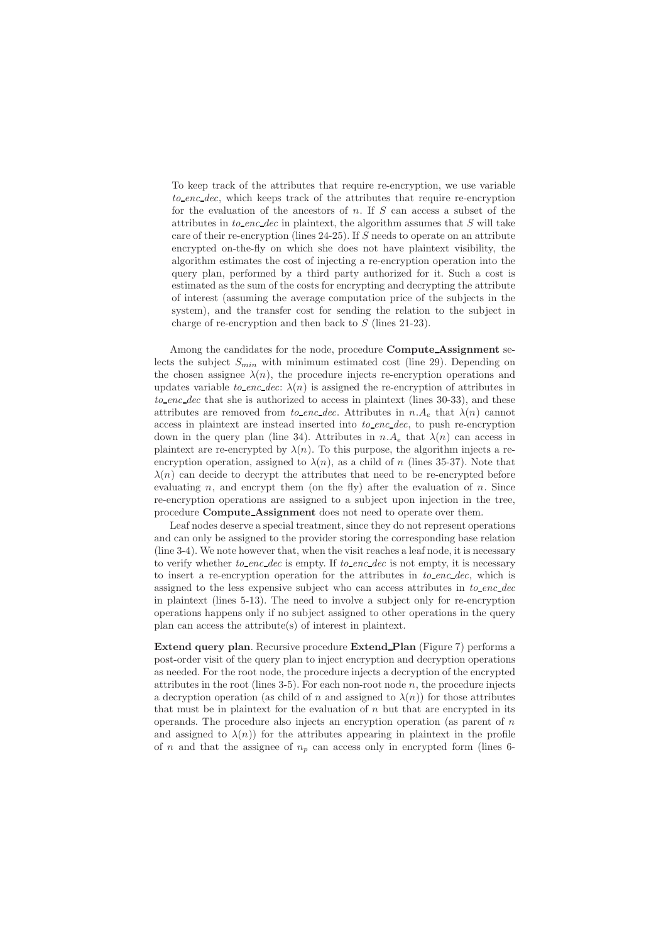To keep track of the attributes that require re-encryption, we use variable  $to_{\text{enc\_dec}}$ , which keeps track of the attributes that require re-encryption for the evaluation of the ancestors of  $n$ . If  $S$  can access a subset of the attributes in to enc dec in plaintext, the algorithm assumes that  $S$  will take care of their re-encryption (lines 24-25). If S needs to operate on an attribute encrypted on-the-fly on which she does not have plaintext visibility, the algorithm estimates the cost of injecting a re-encryption operation into the query plan, performed by a third party authorized for it. Such a cost is estimated as the sum of the costs for encrypting and decrypting the attribute of interest (assuming the average computation price of the subjects in the system), and the transfer cost for sending the relation to the subject in charge of re-encryption and then back to S (lines 21-23).

Among the candidates for the node, procedure Compute Assignment selects the subject  $S_{min}$  with minimum estimated cost (line 29). Depending on the chosen assignee  $\lambda(n)$ , the procedure injects re-encryption operations and updates variable to enc dec:  $\lambda(n)$  is assigned the re-encryption of attributes in  $to_{enc\_dec}$  that she is authorized to access in plaintext (lines 30-33), and these attributes are removed from  $to$ -enc-dec. Attributes in  $n.A_e$  that  $\lambda(n)$  cannot access in plaintext are instead inserted into *to enc* dec, to push re-encryption down in the query plan (line 34). Attributes in  $n.A_e$  that  $\lambda(n)$  can access in plaintext are re-encrypted by  $\lambda(n)$ . To this purpose, the algorithm injects a reencryption operation, assigned to  $\lambda(n)$ , as a child of n (lines 35-37). Note that  $\lambda(n)$  can decide to decrypt the attributes that need to be re-encrypted before evaluating n, and encrypt them (on the fly) after the evaluation of n. Since re-encryption operations are assigned to a subject upon injection in the tree, procedure Compute Assignment does not need to operate over them.

Leaf nodes deserve a special treatment, since they do not represent operations and can only be assigned to the provider storing the corresponding base relation (line 3-4). We note however that, when the visit reaches a leaf node, it is necessary to verify whether  $to\_enc\_dec$  is empty. If  $to\_enc\_dec$  is not empty, it is necessary to insert a re-encryption operation for the attributes in  $to$ -enc-dec, which is assigned to the less expensive subject who can access attributes in to\_enc\_dec in plaintext (lines 5-13). The need to involve a subject only for re-encryption operations happens only if no subject assigned to other operations in the query plan can access the attribute(s) of interest in plaintext.

Extend query plan. Recursive procedure Extend Plan (Figure 7) performs a post-order visit of the query plan to inject encryption and decryption operations as needed. For the root node, the procedure injects a decryption of the encrypted attributes in the root (lines  $3-5$ ). For each non-root node n, the procedure injects a decryption operation (as child of n and assigned to  $\lambda(n)$ ) for those attributes that must be in plaintext for the evaluation of  $n$  but that are encrypted in its operands. The procedure also injects an encryption operation (as parent of  $n$ ) and assigned to  $\lambda(n)$  for the attributes appearing in plaintext in the profile of n and that the assignee of  $n_p$  can access only in encrypted form (lines 6-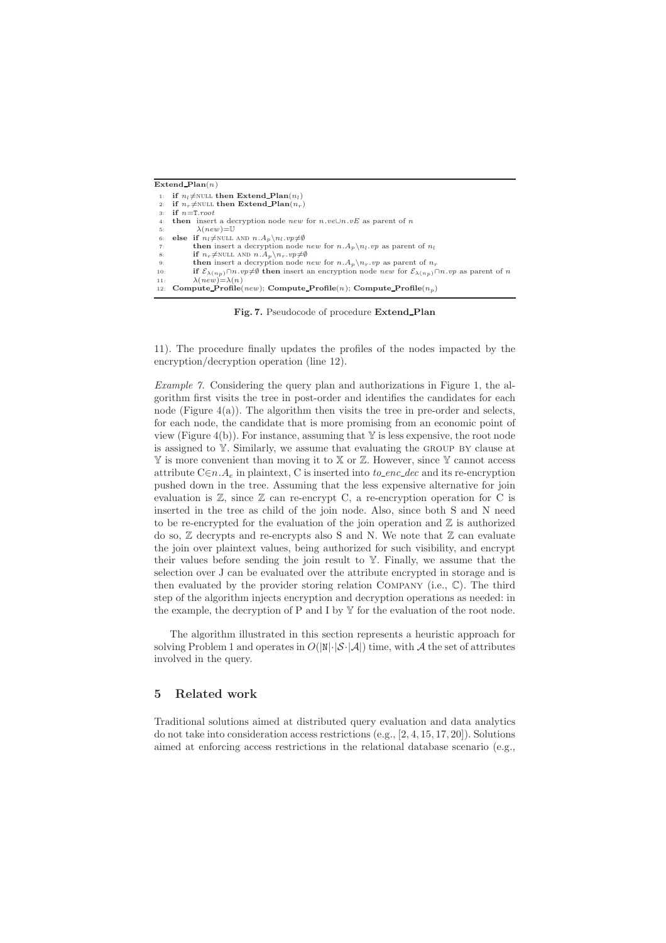Extend Plan $(n)$ 

|     | 1: if $n_l \neq$ NULL then Extend Plan $(n_l)$                                                                                                                                  |
|-----|---------------------------------------------------------------------------------------------------------------------------------------------------------------------------------|
|     | 2: if $n_r \neq$ NULL then Extend Plan $(n_r)$                                                                                                                                  |
| 3:  | if $n = T$ root                                                                                                                                                                 |
|     | 4: <b>then</b> insert a decryption node <i>new</i> for $n \cdot ve \cup n \cdot vE$ as parent of n                                                                              |
| 5:  | $\lambda(new) = \mathbb{U}$                                                                                                                                                     |
| 6:  | else if $n_l \neq$ NULL AND $n.A_p \n\cdot n_l.vp \neq \emptyset$                                                                                                               |
| 7:  | <b>then</b> insert a decryption node <i>new</i> for $n.A_p \nmid n_l.vp$ as parent of $n_l$                                                                                     |
| 8:  | <b>if</b> $n_r \neq$ NULL AND $n.A_p \n\mid n_r.vp \neq \emptyset$                                                                                                              |
| 9:  | <b>then</b> insert a decryption node <i>new</i> for $n.A_p \n\backslash n_r.vp$ as parent of $n_r$                                                                              |
| 10: | if $\mathcal{E}_{\lambda(n_n)} \cap n \cdot vp \neq \emptyset$ then insert an encryption node <i>new</i> for $\mathcal{E}_{\lambda(n_n)} \cap n \cdot vp$ as parent of <i>n</i> |
| 11: | $\lambda(new)=\lambda(n)$                                                                                                                                                       |
| 12: | Compute_Profile(new); Compute_Profile(n); Compute_Profile(n <sub>n</sub> )                                                                                                      |
|     |                                                                                                                                                                                 |

Fig. 7. Pseudocode of procedure Extend Plan

11). The procedure finally updates the profiles of the nodes impacted by the encryption/decryption operation (line 12).

Example 7. Considering the query plan and authorizations in Figure 1, the algorithm first visits the tree in post-order and identifies the candidates for each node (Figure  $4(a)$ ). The algorithm then visits the tree in pre-order and selects, for each node, the candidate that is more promising from an economic point of view (Figure 4(b)). For instance, assuming that  $Y$  is less expensive, the root node is assigned to Y. Similarly, we assume that evaluating the group by clause at  $\mathbb Y$  is more convenient than moving it to  $\mathbb X$  or  $\mathbb Z$ . However, since  $\mathbb Y$  cannot access attribute  $C \in n.A_e$  in plaintext, C is inserted into to enc dec and its re-encryption pushed down in the tree. Assuming that the less expensive alternative for join evaluation is  $\mathbb{Z}$ , since  $\mathbb{Z}$  can re-encrypt C, a re-encryption operation for C is inserted in the tree as child of the join node. Also, since both S and N need to be re-encrypted for the evaluation of the join operation and  $\mathbb Z$  is authorized do so,  $\mathbb Z$  decrypts and re-encrypts also S and N. We note that  $\mathbb Z$  can evaluate the join over plaintext values, being authorized for such visibility, and encrypt their values before sending the join result to Y. Finally, we assume that the selection over J can be evaluated over the attribute encrypted in storage and is then evaluated by the provider storing relation COMPANY (i.e.,  $\mathbb{C}$ ). The third step of the algorithm injects encryption and decryption operations as needed: in the example, the decryption of P and I by Y for the evaluation of the root node.

The algorithm illustrated in this section represents a heuristic approach for solving Problem 1 and operates in  $O(|N|\cdot|\mathcal{S}\cdot|\mathcal{A}|)$  time, with A the set of attributes involved in the query.

### 5 Related work

Traditional solutions aimed at distributed query evaluation and data analytics do not take into consideration access restrictions (e.g., [2, 4, 15, 17, 20]). Solutions aimed at enforcing access restrictions in the relational database scenario (e.g.,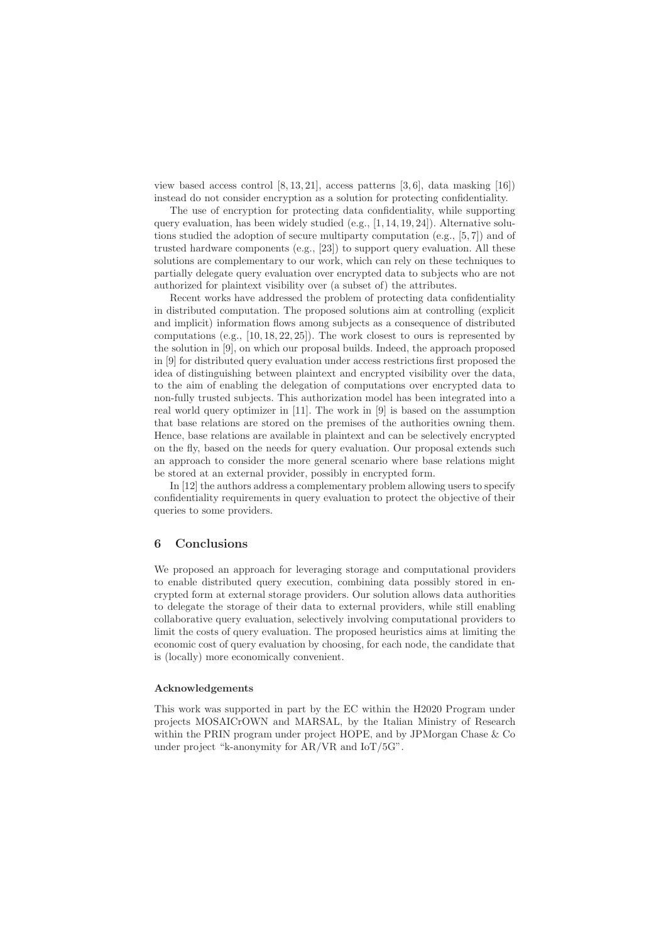view based access control [8, 13, 21], access patterns [3, 6], data masking [16]) instead do not consider encryption as a solution for protecting confidentiality.

The use of encryption for protecting data confidentiality, while supporting query evaluation, has been widely studied  $(e.g., [1, 14, 19, 24])$ . Alternative solutions studied the adoption of secure multiparty computation (e.g., [5, 7]) and of trusted hardware components (e.g., [23]) to support query evaluation. All these solutions are complementary to our work, which can rely on these techniques to partially delegate query evaluation over encrypted data to subjects who are not authorized for plaintext visibility over (a subset of) the attributes.

Recent works have addressed the problem of protecting data confidentiality in distributed computation. The proposed solutions aim at controlling (explicit and implicit) information flows among subjects as a consequence of distributed computations (e.g., [10, 18, 22, 25]). The work closest to ours is represented by the solution in [9], on which our proposal builds. Indeed, the approach proposed in [9] for distributed query evaluation under access restrictions first proposed the idea of distinguishing between plaintext and encrypted visibility over the data, to the aim of enabling the delegation of computations over encrypted data to non-fully trusted subjects. This authorization model has been integrated into a real world query optimizer in [11]. The work in [9] is based on the assumption that base relations are stored on the premises of the authorities owning them. Hence, base relations are available in plaintext and can be selectively encrypted on the fly, based on the needs for query evaluation. Our proposal extends such an approach to consider the more general scenario where base relations might be stored at an external provider, possibly in encrypted form.

In [12] the authors address a complementary problem allowing users to specify confidentiality requirements in query evaluation to protect the objective of their queries to some providers.

## 6 Conclusions

We proposed an approach for leveraging storage and computational providers to enable distributed query execution, combining data possibly stored in encrypted form at external storage providers. Our solution allows data authorities to delegate the storage of their data to external providers, while still enabling collaborative query evaluation, selectively involving computational providers to limit the costs of query evaluation. The proposed heuristics aims at limiting the economic cost of query evaluation by choosing, for each node, the candidate that is (locally) more economically convenient.

#### Acknowledgements

This work was supported in part by the EC within the H2020 Program under projects MOSAICrOWN and MARSAL, by the Italian Ministry of Research within the PRIN program under project HOPE, and by JPMorgan Chase & Co under project "k-anonymity for AR/VR and IoT/5G".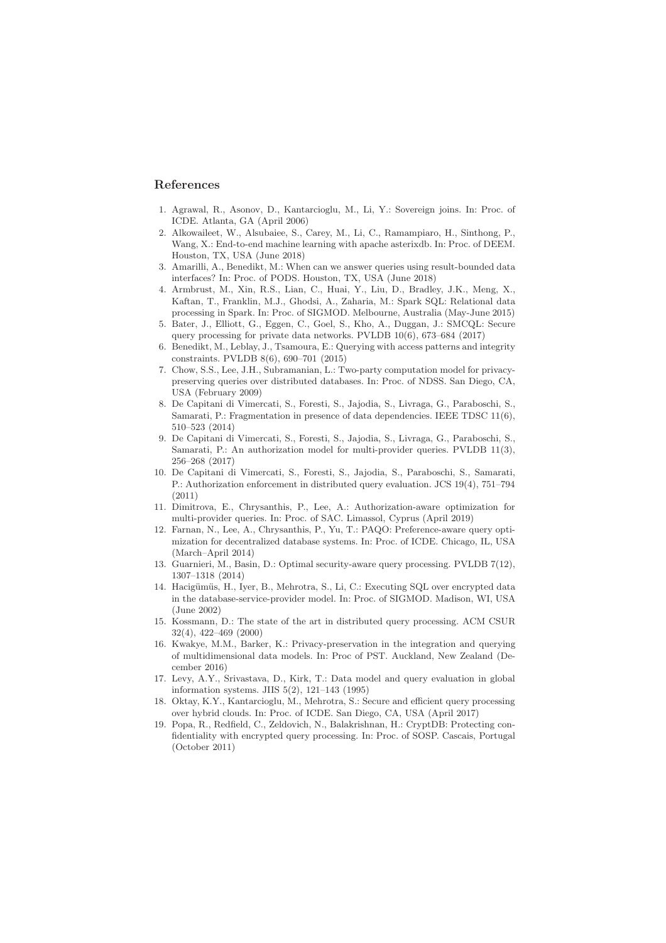#### References

- 1. Agrawal, R., Asonov, D., Kantarcioglu, M., Li, Y.: Sovereign joins. In: Proc. of ICDE. Atlanta, GA (April 2006)
- 2. Alkowaileet, W., Alsubaiee, S., Carey, M., Li, C., Ramampiaro, H., Sinthong, P., Wang, X.: End-to-end machine learning with apache asterixdb. In: Proc. of DEEM. Houston, TX, USA (June 2018)
- 3. Amarilli, A., Benedikt, M.: When can we answer queries using result-bounded data interfaces? In: Proc. of PODS. Houston, TX, USA (June 2018)
- 4. Armbrust, M., Xin, R.S., Lian, C., Huai, Y., Liu, D., Bradley, J.K., Meng, X., Kaftan, T., Franklin, M.J., Ghodsi, A., Zaharia, M.: Spark SQL: Relational data processing in Spark. In: Proc. of SIGMOD. Melbourne, Australia (May-June 2015)
- 5. Bater, J., Elliott, G., Eggen, C., Goel, S., Kho, A., Duggan, J.: SMCQL: Secure query processing for private data networks. PVLDB 10(6), 673–684 (2017)
- 6. Benedikt, M., Leblay, J., Tsamoura, E.: Querying with access patterns and integrity constraints. PVLDB 8(6), 690–701 (2015)
- 7. Chow, S.S., Lee, J.H., Subramanian, L.: Two-party computation model for privacypreserving queries over distributed databases. In: Proc. of NDSS. San Diego, CA, USA (February 2009)
- 8. De Capitani di Vimercati, S., Foresti, S., Jajodia, S., Livraga, G., Paraboschi, S., Samarati, P.: Fragmentation in presence of data dependencies. IEEE TDSC 11(6), 510–523 (2014)
- 9. De Capitani di Vimercati, S., Foresti, S., Jajodia, S., Livraga, G., Paraboschi, S., Samarati, P.: An authorization model for multi-provider queries. PVLDB 11(3), 256–268 (2017)
- 10. De Capitani di Vimercati, S., Foresti, S., Jajodia, S., Paraboschi, S., Samarati, P.: Authorization enforcement in distributed query evaluation. JCS 19(4), 751–794 (2011)
- 11. Dimitrova, E., Chrysanthis, P., Lee, A.: Authorization-aware optimization for multi-provider queries. In: Proc. of SAC. Limassol, Cyprus (April 2019)
- 12. Farnan, N., Lee, A., Chrysanthis, P., Yu, T.: PAQO: Preference-aware query optimization for decentralized database systems. In: Proc. of ICDE. Chicago, IL, USA (March–April 2014)
- 13. Guarnieri, M., Basin, D.: Optimal security-aware query processing. PVLDB 7(12), 1307–1318 (2014)
- 14. Hacigümüs, H., Iyer, B., Mehrotra, S., Li, C.: Executing SQL over encrypted data in the database-service-provider model. In: Proc. of SIGMOD. Madison, WI, USA (June 2002)
- 15. Kossmann, D.: The state of the art in distributed query processing. ACM CSUR 32(4), 422–469 (2000)
- 16. Kwakye, M.M., Barker, K.: Privacy-preservation in the integration and querying of multidimensional data models. In: Proc of PST. Auckland, New Zealand (December 2016)
- 17. Levy, A.Y., Srivastava, D., Kirk, T.: Data model and query evaluation in global information systems. JIIS 5(2), 121–143 (1995)
- 18. Oktay, K.Y., Kantarcioglu, M., Mehrotra, S.: Secure and efficient query processing over hybrid clouds. In: Proc. of ICDE. San Diego, CA, USA (April 2017)
- 19. Popa, R., Redfield, C., Zeldovich, N., Balakrishnan, H.: CryptDB: Protecting confidentiality with encrypted query processing. In: Proc. of SOSP. Cascais, Portugal (October 2011)